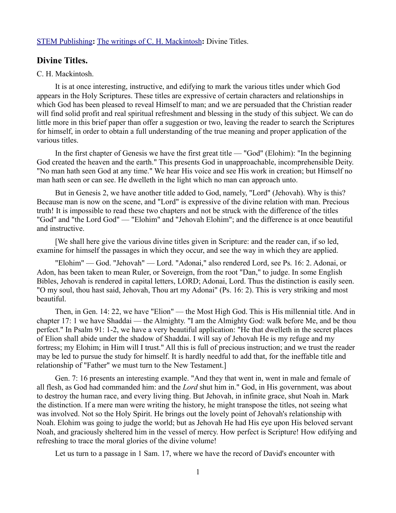## [STEM Publishing](http://www.stempublishing.com/)**:** [The writings of C. H. Mackintosh](http://www.stempublishing.com/authors/mackintosh/index.html)**:** Divine Titles.

## **Divine Titles.**

## C. H. Mackintosh.

It is at once interesting, instructive, and edifying to mark the various titles under which God appears in the Holy Scriptures. These titles are expressive of certain characters and relationships in which God has been pleased to reveal Himself to man; and we are persuaded that the Christian reader will find solid profit and real spiritual refreshment and blessing in the study of this subject. We can do little more in this brief paper than offer a suggestion or two, leaving the reader to search the Scriptures for himself, in order to obtain a full understanding of the true meaning and proper application of the various titles.

In the first chapter of Genesis we have the first great title — "God" (Elohim): "In the beginning God created the heaven and the earth." This presents God in unapproachable, incomprehensible Deity. "No man hath seen God at any time." We hear His voice and see His work in creation; but Himself no man hath seen or can see. He dwelleth in the light which no man can approach unto.

But in Genesis 2, we have another title added to God, namely, "Lord" (Jehovah). Why is this? Because man is now on the scene, and "Lord" is expressive of the divine relation with man. Precious truth! It is impossible to read these two chapters and not be struck with the difference of the titles "God" and "the Lord God" — "Elohim" and "Jehovah Elohim"; and the difference is at once beautiful and instructive.

[We shall here give the various divine titles given in Scripture: and the reader can, if so led, examine for himself the passages in which they occur, and see the way in which they are applied.

"Elohim" — God. "Jehovah" — Lord. "Adonai," also rendered Lord, see Ps. 16: 2. Adonai, or Adon, has been taken to mean Ruler, or Sovereign, from the root "Dan," to judge. In some English Bibles, Jehovah is rendered in capital letters, LORD; Adonai, Lord. Thus the distinction is easily seen. "O my soul, thou hast said, Jehovah, Thou art my Adonai" (Ps. 16: 2). This is very striking and most beautiful.

Then, in Gen. 14: 22, we have "Elion" — the Most High God. This is His millennial title. And in chapter 17: 1 we have Shaddai — the Almighty. "I am the Almighty God: walk before Me, and be thou perfect." In Psalm 91: 1-2, we have a very beautiful application: "He that dwelleth in the secret places of Elion shall abide under the shadow of Shaddai. I will say of Jehovah He is my refuge and my fortress; my Elohim; in Him will I trust." All this is full of precious instruction; and we trust the reader may be led to pursue the study for himself. It is hardly needful to add that, for the ineffable title and relationship of "Father" we must turn to the New Testament.]

Gen. 7: 16 presents an interesting example. "And they that went in, went in male and female of all flesh, as God had commanded him: and the *Lord* shut him in." God, in His government, was about to destroy the human race, and every living thing. But Jehovah, in infinite grace, shut Noah in. Mark the distinction. If a mere man were writing the history, he might transpose the titles, not seeing what was involved. Not so the Holy Spirit. He brings out the lovely point of Jehovah's relationship with Noah. Elohim was going to judge the world; but as Jehovah He had His eye upon His beloved servant Noah, and graciously sheltered him in the vessel of mercy. How perfect is Scripture! How edifying and refreshing to trace the moral glories of the divine volume!

Let us turn to a passage in 1 Sam. 17, where we have the record of David's encounter with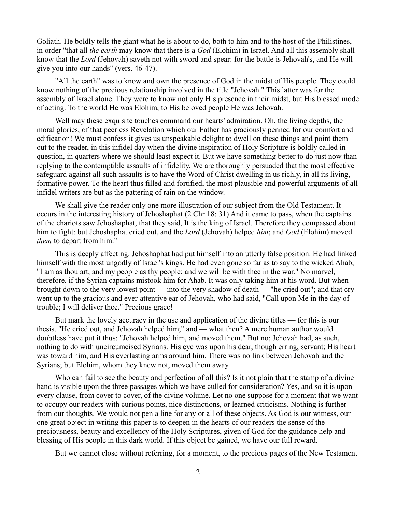Goliath. He boldly tells the giant what he is about to do, both to him and to the host of the Philistines, in order "that all *the earth* may know that there is a *God* (Elohim) in Israel. And all this assembly shall know that the *Lord* (Jehovah) saveth not with sword and spear: for the battle is Jehovah's, and He will give you into our hands" (vers. 46-47).

"All the earth" was to know and own the presence of God in the midst of His people. They could know nothing of the precious relationship involved in the title "Jehovah." This latter was for the assembly of Israel alone. They were to know not only His presence in their midst, but His blessed mode of acting. To the world He was Elohim, to His beloved people He was Jehovah.

Well may these exquisite touches command our hearts' admiration. Oh, the living depths, the moral glories, of that peerless Revelation which our Father has graciously penned for our comfort and edification! We must confess it gives us unspeakable delight to dwell on these things and point them out to the reader, in this infidel day when the divine inspiration of Holy Scripture is boldly called in question, in quarters where we should least expect it. But we have something better to do just now than replying to the contemptible assaults of infidelity. We are thoroughly persuaded that the most effective safeguard against all such assaults is to have the Word of Christ dwelling in us richly, in all its living, formative power. To the heart thus filled and fortified, the most plausible and powerful arguments of all infidel writers are but as the pattering of rain on the window.

We shall give the reader only one more illustration of our subject from the Old Testament. It occurs in the interesting history of Jehoshaphat (2 Chr 18: 31) And it came to pass, when the captains of the chariots saw Jehoshaphat, that they said, It is the king of Israel. Therefore they compassed about him to fight: but Jehoshaphat cried out, and the *Lord* (Jehovah) helped *him*; and *God* (Elohim) moved *them* to depart from him."

This is deeply affecting. Jehoshaphat had put himself into an utterly false position. He had linked himself with the most ungodly of Israel's kings. He had even gone so far as to say to the wicked Ahab, "I am as thou art, and my people as thy people; and we will be with thee in the war." No marvel, therefore, if the Syrian captains mistook him for Ahab. It was only taking him at his word. But when brought down to the very lowest point — into the very shadow of death — "he cried out"; and that cry went up to the gracious and ever-attentive ear of Jehovah, who had said, "Call upon Me in the day of trouble; I will deliver thee." Precious grace!

But mark the lovely accuracy in the use and application of the divine titles — for this is our thesis. "He cried out, and Jehovah helped him;" and — what then? A mere human author would doubtless have put it thus: "Jehovah helped him, and moved them." But no; Jehovah had, as such, nothing to do with uncircumcised Syrians. His eye was upon his dear, though erring, servant; His heart was toward him, and His everlasting arms around him. There was no link between Jehovah and the Syrians; but Elohim, whom they knew not, moved them away.

Who can fail to see the beauty and perfection of all this? Is it not plain that the stamp of a divine hand is visible upon the three passages which we have culled for consideration? Yes, and so it is upon every clause, from cover to cover, of the divine volume. Let no one suppose for a moment that we want to occupy our readers with curious points, nice distinctions, or learned criticisms. Nothing is further from our thoughts. We would not pen a line for any or all of these objects. As God is our witness, our one great object in writing this paper is to deepen in the hearts of our readers the sense of the preciousness, beauty and excellency of the Holy Scriptures, given of God for the guidance help and blessing of His people in this dark world. If this object be gained, we have our full reward.

But we cannot close without referring, for a moment, to the precious pages of the New Testament